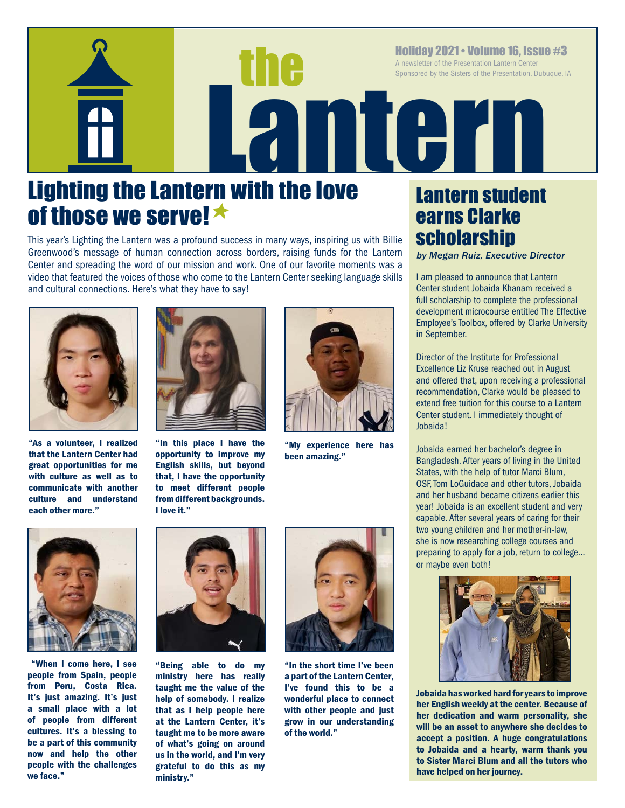Holiday 2021 • Volume 16, Issue #3<br>A newsletter of the Presentation Lantern Center<br>Sponsored by the Sisters of the Presentation, Dubuque, 14<br>Resentation, Dubuque, 14<br>Resentation, Dubuque, 14<br>Resentation, Dubuque, 14<br>Resent A newsletter of the Presentation Lantern Center Sponsored by the Sisters of the Presentation, Dubuque, IA

# Lighting the Lantern with the love of those we serve!  $\star$

This year's Lighting the Lantern was a profound success in many ways, inspiring us with Billie Greenwood's message of human connection across borders, raising funds for the Lantern Center and spreading the word of our mission and work. One of our favorite moments was a video that featured the voices of those who come to the Lantern Center seeking language skills and cultural connections. Here's what they have to say!



"As a volunteer, I realized that the Lantern Center had great opportunities for me with culture as well as to communicate with another culture and understand each other more."



"In this place I have the opportunity to improve my English skills, but beyond that, I have the opportunity to meet different people from different backgrounds. I love it."



"My experience here has been amazing."



 "When I come here, I see people from Spain, people from Peru, Costa Rica. It's just amazing. It's just a small place with a lot of people from different cultures. It's a blessing to be a part of this community now and help the other people with the challenges we face."



"Being able to do my ministry here has really taught me the value of the help of somebody. I realize that as I help people here at the Lantern Center, it's taught me to be more aware of what's going on around us in the world, and I'm very grateful to do this as my ministry."



"In the short time I've been a part of the Lantern Center, I've found this to be a wonderful place to connect with other people and just grow in our understanding of the world."

## Lantern student earns Clarke scholarship

*by Megan Ruiz, Executive Director*

I am pleased to announce that Lantern Center student Jobaida Khanam received a full scholarship to complete the professional development microcourse entitled The Effective Employee's Toolbox, offered by Clarke University in September.

Director of the Institute for Professional Excellence Liz Kruse reached out in August and offered that, upon receiving a professional recommendation, Clarke would be pleased to extend free tuition for this course to a Lantern Center student. I immediately thought of Jobaida!

Jobaida earned her bachelor's degree in Bangladesh. After years of living in the United States, with the help of tutor Marci Blum, OSF, Tom LoGuidace and other tutors, Jobaida and her husband became citizens earlier this year! Jobaida is an excellent student and very capable. After several years of caring for their two young children and her mother-in-law, she is now researching college courses and preparing to apply for a job, return to college… or maybe even both!



Jobaida has worked hard for years to improve her English weekly at the center. Because of her dedication and warm personality, she will be an asset to anywhere she decides to accept a position. A huge congratulations to Jobaida and a hearty, warm thank you to Sister Marci Blum and all the tutors who have helped on her journey.